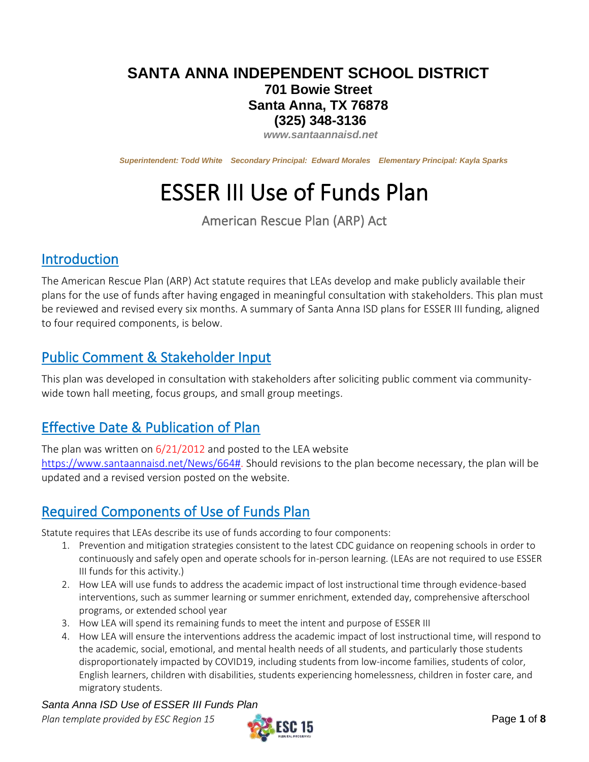# **SANTA ANNA INDEPENDENT SCHOOL DISTRICT 701 Bowie Street Santa Anna, TX 76878 (325) 348-3136**

*[www.santaannaisd.net](http://www.santaannaisd.net/)*

*Superintendent: Todd White Secondary Principal: Edward Morales Elementary Principal: Kayla Sparks*

# ESSER III Use of Funds Plan

American Rescue Plan (ARP) Act

## Introduction

The American Rescue Plan (ARP) Act statute requires that LEAs develop and make publicly available their plans for the use of funds after having engaged in meaningful consultation with stakeholders. This plan must be reviewed and revised every six months. A summary of Santa Anna ISD plans for ESSER III funding, aligned to four required components, is below.

## Public Comment & Stakeholder Input

This plan was developed in consultation with stakeholders after soliciting public comment via communitywide town hall meeting, focus groups, and small group meetings.

# Effective Date & Publication of Plan

The plan was written on 6/21/2012 and posted to the LEA website [https://www.santaannaisd.net/News/664#.](https://www.santaannaisd.net/News/664) Should revisions to the plan become necessary, the plan will be updated and a revised version posted on the website.

## Required Components of Use of Funds Plan

Statute requires that LEAs describe its use of funds according to four components:

- 1. Prevention and mitigation strategies consistent to the latest CDC guidance on reopening schools in order to continuously and safely open and operate schools for in-person learning. (LEAs are not required to use ESSER III funds for this activity.)
- 2. How LEA will use funds to address the academic impact of lost instructional time through evidence-based interventions, such as summer learning or summer enrichment, extended day, comprehensive afterschool programs, or extended school year
- 3. How LEA will spend its remaining funds to meet the intent and purpose of ESSER III
- 4. How LEA will ensure the interventions address the academic impact of lost instructional time, will respond to the academic, social, emotional, and mental health needs of all students, and particularly those students disproportionately impacted by COVID19, including students from low-income families, students of color, English learners, children with disabilities, students experiencing homelessness, children in foster care, and migratory students.

#### *Santa Anna ISD Use of ESSER III Funds Plan*

Plan template provided by ESC Region 15 **Page 1** of **8 Page 1** of **8** 

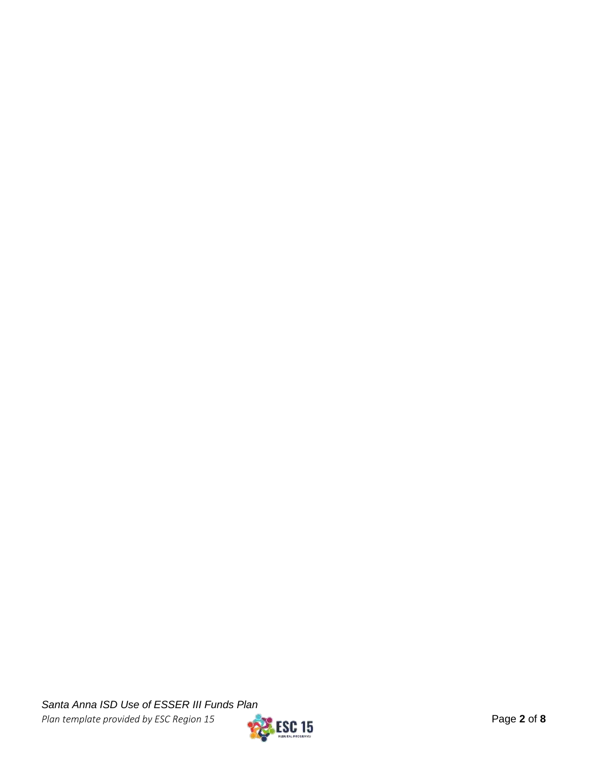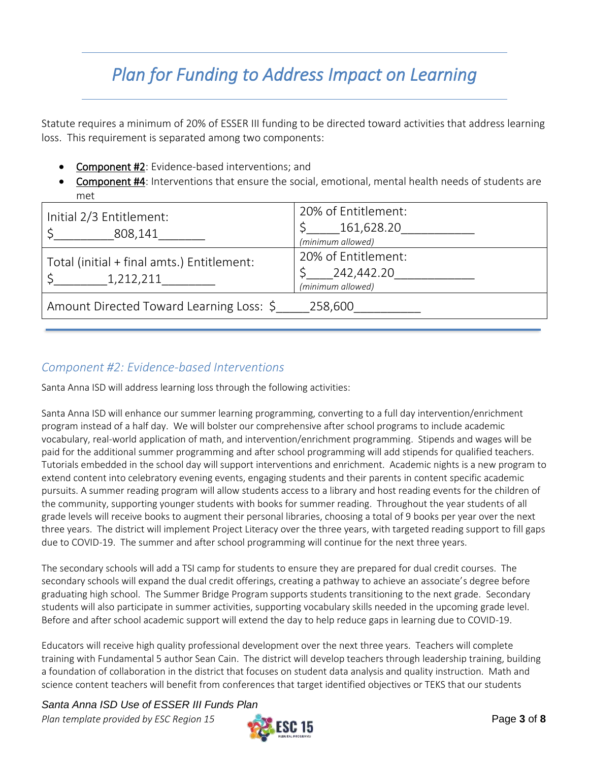# *Plan for Funding to Address Impact on Learning*

Statute requires a minimum of 20% of ESSER III funding to be directed toward activities that address learning loss. This requirement is separated among two components:

- Component #2: Evidence-based interventions; and
- Component #4: Interventions that ensure the social, emotional, mental health needs of students are met

| Initial 2/3 Entitlement:<br>808,141                                          | 20% of Entitlement:<br>161,628.20<br>(minimum allowed) |  |
|------------------------------------------------------------------------------|--------------------------------------------------------|--|
| Total (initial + final amts.) Entitlement:<br>1,212,211<br>$S \qquad \qquad$ | 20% of Entitlement:<br>242,442.20<br>(minimum allowed) |  |
| Amount Directed Toward Learning Loss: \$<br>258,600                          |                                                        |  |

### *Component #2: Evidence-based Interventions*

Santa Anna ISD will address learning loss through the following activities:

Santa Anna ISD will enhance our summer learning programming, converting to a full day intervention/enrichment program instead of a half day. We will bolster our comprehensive after school programs to include academic vocabulary, real-world application of math, and intervention/enrichment programming. Stipends and wages will be paid for the additional summer programming and after school programming will add stipends for qualified teachers. Tutorials embedded in the school day will support interventions and enrichment. Academic nights is a new program to extend content into celebratory evening events, engaging students and their parents in content specific academic pursuits. A summer reading program will allow students access to a library and host reading events for the children of the community, supporting younger students with books for summer reading. Throughout the year students of all grade levels will receive books to augment their personal libraries, choosing a total of 9 books per year over the next three years. The district will implement Project Literacy over the three years, with targeted reading support to fill gaps due to COVID-19. The summer and after school programming will continue for the next three years.

The secondary schools will add a TSI camp for students to ensure they are prepared for dual credit courses. The secondary schools will expand the dual credit offerings, creating a pathway to achieve an associate's degree before graduating high school. The Summer Bridge Program supports students transitioning to the next grade. Secondary students will also participate in summer activities, supporting vocabulary skills needed in the upcoming grade level. Before and after school academic support will extend the day to help reduce gaps in learning due to COVID-19.

Educators will receive high quality professional development over the next three years. Teachers will complete training with Fundamental 5 author Sean Cain. The district will develop teachers through leadership training, building a foundation of collaboration in the district that focuses on student data analysis and quality instruction. Math and science content teachers will benefit from conferences that target identified objectives or TEKS that our students

*Santa Anna ISD Use of ESSER III Funds Plan*

Plan template provided by ESC Region 15 **Page 3 of 8 Page 3 of 8** 

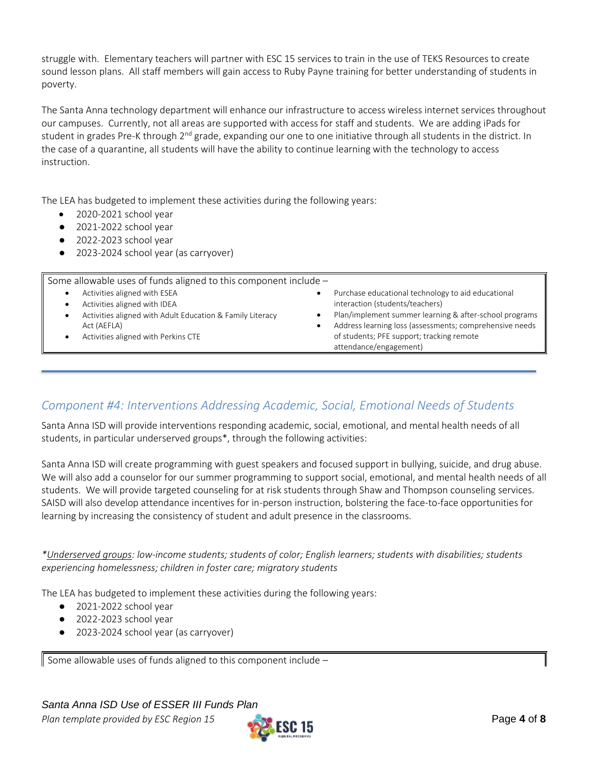struggle with. Elementary teachers will partner with ESC 15 services to train in the use of TEKS Resources to create sound lesson plans. All staff members will gain access to Ruby Payne training for better understanding of students in poverty.

The Santa Anna technology department will enhance our infrastructure to access wireless internet services throughout our campuses. Currently, not all areas are supported with access for staff and students. We are adding iPads for student in grades Pre-K through  $2^{nd}$  grade, expanding our one to one initiative through all students in the district. In the case of a quarantine, all students will have the ability to continue learning with the technology to access instruction.

The LEA has budgeted to implement these activities during the following years:

- 2020-2021 school year
- 2021-2022 school year
- 2022-2023 school year
- 2023-2024 school year (as carryover)

| Some allowable uses of funds aligned to this component include - |                                                         |  |
|------------------------------------------------------------------|---------------------------------------------------------|--|
| Activities aligned with ESEA                                     | Purchase educational technology to aid educational      |  |
| Activities aligned with IDEA                                     | interaction (students/teachers)                         |  |
| Activities aligned with Adult Education & Family Literacy        | Plan/implement summer learning & after-school programs  |  |
| Act (AEFLA)                                                      | Address learning loss (assessments; comprehensive needs |  |
| Activities aligned with Perkins CTE                              | of students; PFE support; tracking remote               |  |
|                                                                  | attendance/engagement)                                  |  |

#### *Component #4: Interventions Addressing Academic, Social, Emotional Needs of Students*

Santa Anna ISD will provide interventions responding academic, social, emotional, and mental health needs of all students, in particular underserved groups\*, through the following activities:

Santa Anna ISD will create programming with guest speakers and focused support in bullying, suicide, and drug abuse. We will also add a counselor for our summer programming to support social, emotional, and mental health needs of all students. We will provide targeted counseling for at risk students through Shaw and Thompson counseling services. SAISD will also develop attendance incentives for in-person instruction, bolstering the face-to-face opportunities for learning by increasing the consistency of student and adult presence in the classrooms.

*\*Underserved groups: low-income students; students of color; English learners; students with disabilities; students experiencing homelessness; children in foster care; migratory students*

The LEA has budgeted to implement these activities during the following years:

- $\bullet$  2021-2022 school year
- 2022-2023 school year
- 2023-2024 school year (as carryover)

Some allowable uses of funds aligned to this component include  $-$ 

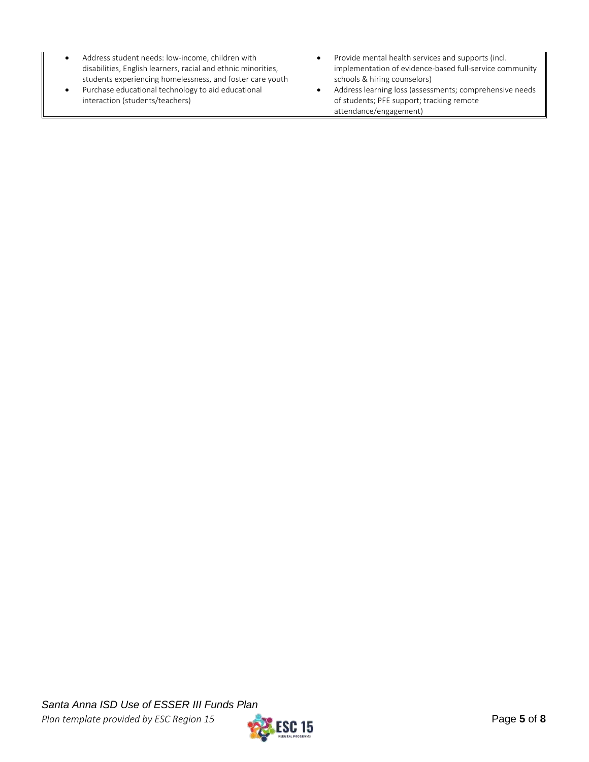- Address student needs: low-income, children with disabilities, English learners, racial and ethnic minorities, students experiencing homelessness, and foster care youth
- Purchase educational technology to aid educational interaction (students/teachers)
- Provide mental health services and supports (incl. implementation of evidence-based full-service community schools & hiring counselors)
- Address learning loss (assessments; comprehensive needs of students; PFE support; tracking remote attendance/engagement)

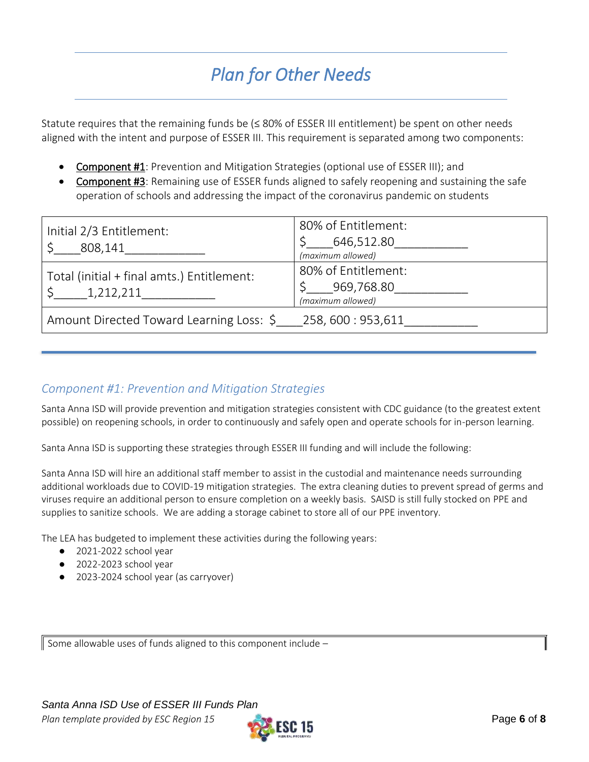# *Plan for Other Needs*

Statute requires that the remaining funds be (≤ 80% of ESSER III entitlement) be spent on other needs aligned with the intent and purpose of ESSER III. This requirement is separated among two components:

- Component #1: Prevention and Mitigation Strategies (optional use of ESSER III); and
- Component #3: Remaining use of ESSER funds aligned to safely reopening and sustaining the safe operation of schools and addressing the impact of the coronavirus pandemic on students

| Initial 2/3 Entitlement:<br>808,141                               | 80% of Entitlement:<br>646,512.80<br>(maximum allowed)    |  |
|-------------------------------------------------------------------|-----------------------------------------------------------|--|
| Total (initial + final amts.) Entitlement:<br>$\frac{1}{212,211}$ | 80% of Entitlement:<br>$-969,768.80$<br>(maximum allowed) |  |
| Amount Directed Toward Learning Loss: \$258,600:953,611           |                                                           |  |

### *Component #1: Prevention and Mitigation Strategies*

Santa Anna ISD will provide prevention and mitigation strategies consistent with CDC guidance (to the greatest extent possible) on reopening schools, in order to continuously and safely open and operate schools for in-person learning.

Santa Anna ISD is supporting these strategies through ESSER III funding and will include the following:

Santa Anna ISD will hire an additional staff member to assist in the custodial and maintenance needs surrounding additional workloads due to COVID-19 mitigation strategies. The extra cleaning duties to prevent spread of germs and viruses require an additional person to ensure completion on a weekly basis. SAISD is still fully stocked on PPE and supplies to sanitize schools. We are adding a storage cabinet to store all of our PPE inventory.

The LEA has budgeted to implement these activities during the following years:

- 2021-2022 school year
- 2022-2023 school year
- 2023-2024 school year (as carryover)

Some allowable uses of funds aligned to this component include  $-$ 

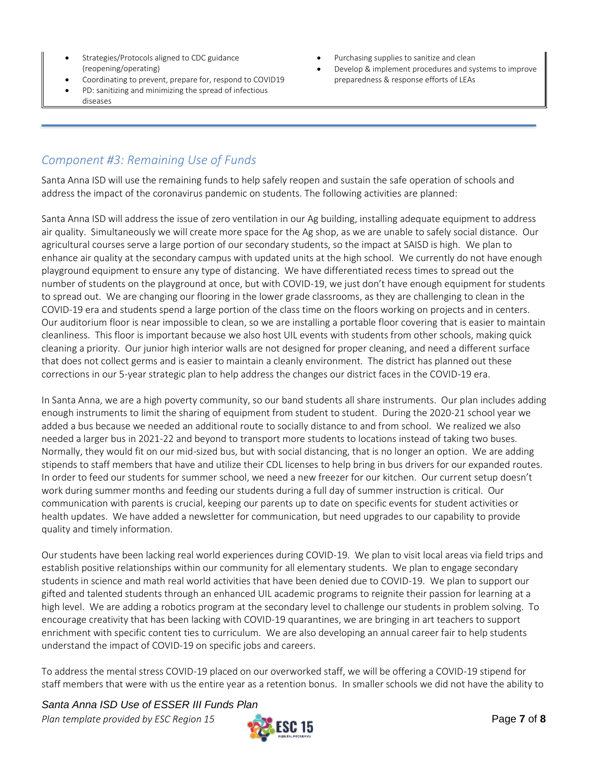- Strategies/Protocols aligned to CDC guidance (reopening/operating)
- Coordinating to prevent, prepare for, respond to COVID19
- PD: sanitizing and minimizing the spread of infectious diseases
- Purchasing supplies to sanitize and clean
- Develop & implement procedures and systems to improve preparedness & response efforts of LEAs

### *Component #3: Remaining Use of Funds*

Santa Anna ISD will use the remaining funds to help safely reopen and sustain the safe operation of schools and address the impact of the coronavirus pandemic on students. The following activities are planned:

Santa Anna ISD will address the issue of zero ventilation in our Ag building, installing adequate equipment to address air quality. Simultaneously we will create more space for the Ag shop, as we are unable to safely social distance. Our agricultural courses serve a large portion of our secondary students, so the impact at SAISD is high. We plan to enhance air quality at the secondary campus with updated units at the high school. We currently do not have enough playground equipment to ensure any type of distancing. We have differentiated recess times to spread out the number of students on the playground at once, but with COVID-19, we just don't have enough equipment for students to spread out. We are changing our flooring in the lower grade classrooms, as they are challenging to clean in the COVID-19 era and students spend a large portion of the class time on the floors working on projects and in centers. Our auditorium floor is near impossible to clean, so we are installing a portable floor covering that is easier to maintain cleanliness. This floor is important because we also host UIL events with students from other schools, making quick cleaning a priority. Our junior high interior walls are not designed for proper cleaning, and need a different surface that does not collect germs and is easier to maintain a cleanly environment. The district has planned out these corrections in our 5-year strategic plan to help address the changes our district faces in the COVID-19 era.

In Santa Anna, we are a high poverty community, so our band students all share instruments. Our plan includes adding enough instruments to limit the sharing of equipment from student to student. During the 2020-21 school year we added a bus because we needed an additional route to socially distance to and from school. We realized we also needed a larger bus in 2021-22 and beyond to transport more students to locations instead of taking two buses. Normally, they would fit on our mid-sized bus, but with social distancing, that is no longer an option. We are adding stipends to staff members that have and utilize their CDL licenses to help bring in bus drivers for our expanded routes. In order to feed our students for summer school, we need a new freezer for our kitchen. Our current setup doesn't work during summer months and feeding our students during a full day of summer instruction is critical. Our communication with parents is crucial, keeping our parents up to date on specific events for student activities or health updates. We have added a newsletter for communication, but need upgrades to our capability to provide quality and timely information.

Our students have been lacking real world experiences during COVID-19. We plan to visit local areas via field trips and establish positive relationships within our community for all elementary students. We plan to engage secondary students in science and math real world activities that have been denied due to COVID-19. We plan to support our gifted and talented students through an enhanced UIL academic programs to reignite their passion for learning at a high level. We are adding a robotics program at the secondary level to challenge our students in problem solving. To encourage creativity that has been lacking with COVID-19 quarantines, we are bringing in art teachers to support enrichment with specific content ties to curriculum. We are also developing an annual career fair to help students understand the impact of COVID-19 on specific jobs and careers.

To address the mental stress COVID-19 placed on our overworked staff, we will be offering a COVID-19 stipend for staff members that were with us the entire year as a retention bonus. In smaller schools we did not have the ability to

*Santa Anna ISD Use of ESSER III Funds Plan*

Plan template provided by ESC Region 15 **Page 7 of 8**